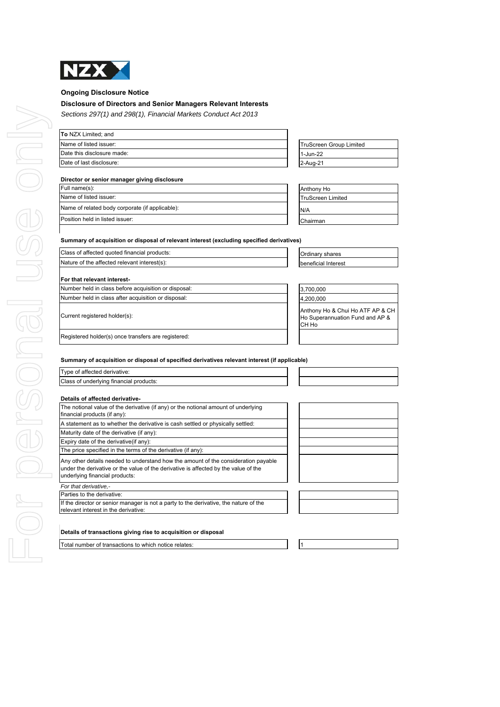

### **Ongoing Disclosure Notice**

### **Disclosure of Directors and Senior Managers Relevant Interests**

*Sections 297(1) and 298(1), Financial Markets Conduct Act 2013*

| TruScreen Group Limited |
|-------------------------|
| 1-Jun-22                |
| 2-Aug-21                |
|                         |

### **Director or senior manager giving disclosure**

| Full name(s):                                   | Anthony Ho               |
|-------------------------------------------------|--------------------------|
| Name of listed issuer:                          | <b>TruScreen Limited</b> |
| Name of related body corporate (if applicable): | N/A                      |
| Position held in listed issuer:                 | Chairman                 |

| TruScreen Group Limited |  |
|-------------------------|--|
| 1-Jun-22                |  |
| 2-Aug-21                |  |
|                         |  |

| Anthony Ho               |
|--------------------------|
| <b>TruScreen Limited</b> |
| N/A                      |
| Chairman                 |

### **Summary of acquisition or disposal of relevant interest (excluding specified derivatives)**

| Class of affected quoted financial products: |                     | <b>Ordinary shares</b> |  |
|----------------------------------------------|---------------------|------------------------|--|
| Nature of the affected relevant interest(s): | beneficial Interest |                        |  |
|                                              |                     |                        |  |

### **For that relevant interest-**

Registered holder(s) once transfers are registered:

| urrent registered holder(s): |  |  |
|------------------------------|--|--|
|                              |  |  |

| Number held in class before acquisition or disposal: |  | 3,700,000                                                                     |
|------------------------------------------------------|--|-------------------------------------------------------------------------------|
| Number held in class after acquisition or disposal:  |  | 4.200.000                                                                     |
| Current registered holder(s):                        |  | Anthony Ho & Chui Ho ATF AP & CH<br>Ho Superannuation Fund and AP &<br>ICH Ho |
|                                                      |  |                                                                               |

### **Summary of acquisition or disposal of specified derivatives relevant interest (if applicable)**

Type of affected derivative: Class of underlying financial products:

| Details of affected derivative-                                                                                                                                                                             |
|-------------------------------------------------------------------------------------------------------------------------------------------------------------------------------------------------------------|
| The notional value of the derivative (if any) or the notional amount of underlying<br>financial products (if any):                                                                                          |
| A statement as to whether the derivative is cash settled or physically settled:                                                                                                                             |
| Maturity date of the derivative (if any):                                                                                                                                                                   |
| Expiry date of the derivative (if any):                                                                                                                                                                     |
| The price specified in the terms of the derivative (if any):                                                                                                                                                |
| Any other details needed to understand how the amount of the consideration payable<br>under the derivative or the value of the derivative is affected by the value of the<br>underlying financial products: |
| For that derivative.-                                                                                                                                                                                       |
| Parties to the derivative:                                                                                                                                                                                  |
| If the director or senior manager is not a party to the derivative, the nature of the<br>relevant interest in the derivative:                                                                               |

| Details of transactions giving rise to acquisition or disposal |  |  |  |
|----------------------------------------------------------------|--|--|--|
|                                                                |  |  |  |

Total number of transactions to which notice relates: 11 1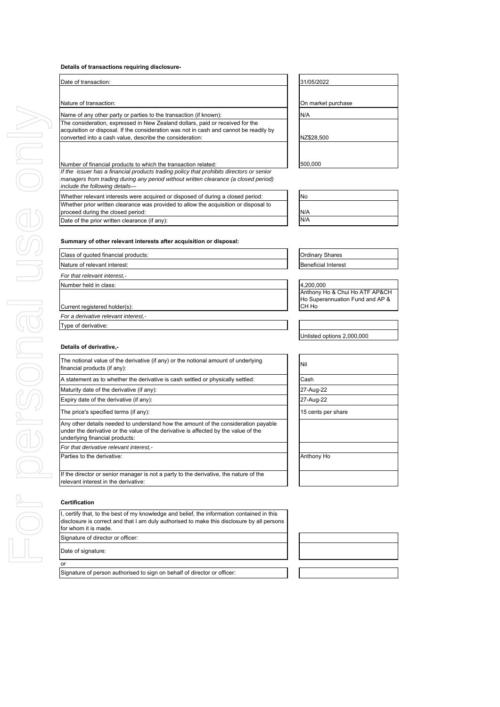### **Details of transactions requiring disclosure-**

| 31/05/2022<br>On market purchas<br>N/A<br>NZ\$28,500<br>500,000<br>No<br>N/A<br>N/A<br><b>Ordinary Shares</b><br><b>Beneficial Interest</b><br>4,200,000<br>Anthony Ho & Chu<br>Ho Superannuatio<br>СН Но |
|-----------------------------------------------------------------------------------------------------------------------------------------------------------------------------------------------------------|
|                                                                                                                                                                                                           |
|                                                                                                                                                                                                           |
|                                                                                                                                                                                                           |
|                                                                                                                                                                                                           |
|                                                                                                                                                                                                           |
|                                                                                                                                                                                                           |
|                                                                                                                                                                                                           |
|                                                                                                                                                                                                           |
|                                                                                                                                                                                                           |
|                                                                                                                                                                                                           |
|                                                                                                                                                                                                           |
|                                                                                                                                                                                                           |
|                                                                                                                                                                                                           |
|                                                                                                                                                                                                           |
|                                                                                                                                                                                                           |
|                                                                                                                                                                                                           |
|                                                                                                                                                                                                           |
|                                                                                                                                                                                                           |
|                                                                                                                                                                                                           |
|                                                                                                                                                                                                           |
|                                                                                                                                                                                                           |
|                                                                                                                                                                                                           |
|                                                                                                                                                                                                           |
| Unlisted options 2,                                                                                                                                                                                       |
|                                                                                                                                                                                                           |
| Nil                                                                                                                                                                                                       |
| Cash                                                                                                                                                                                                      |
| 27-Aug-22                                                                                                                                                                                                 |
| 27-Aug-22                                                                                                                                                                                                 |
| 15 cents per share                                                                                                                                                                                        |
|                                                                                                                                                                                                           |
|                                                                                                                                                                                                           |
| Anthony Ho                                                                                                                                                                                                |
|                                                                                                                                                                                                           |
|                                                                                                                                                                                                           |

I, certify that, to the best of my knowledge and belief, the information contained in this disclosure is correct and that I am duly authorised to make this disclosure by all persons for whom it is made. Signature of director or officer:

Date of signature:

### **O**

Signature of person authorised to sign on behalf of director or officer:

# arket purchase

| No  |  |  |  |
|-----|--|--|--|
|     |  |  |  |
| N/A |  |  |  |
| N/A |  |  |  |

ary Shares

),000<br>pny Ho & Chui Ho ATF AP&CH uperannuation Fund and AP  $\&$ lo

ted options 2,000,000

| Nil                |  |
|--------------------|--|
| Cash               |  |
| 27-Aug-22          |  |
| 27-Aug-22          |  |
| 15 cents per share |  |
|                    |  |
|                    |  |
|                    |  |
| Anthony Ho         |  |
|                    |  |

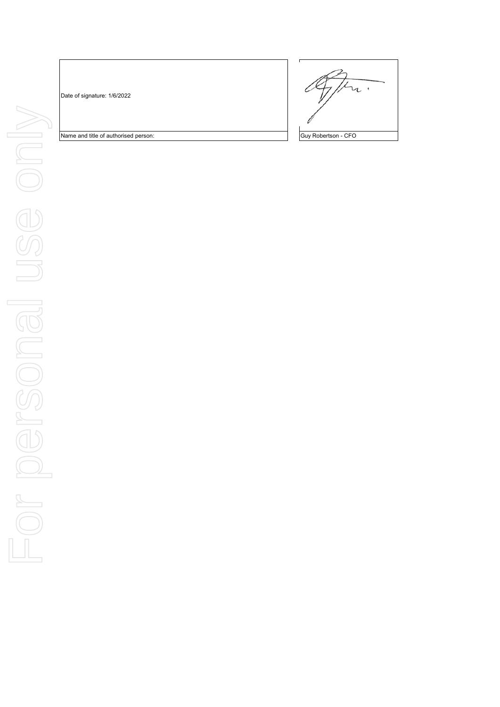Date of signature: 1/6/2022



Name and title of authorised person: Guy Robertson - CFO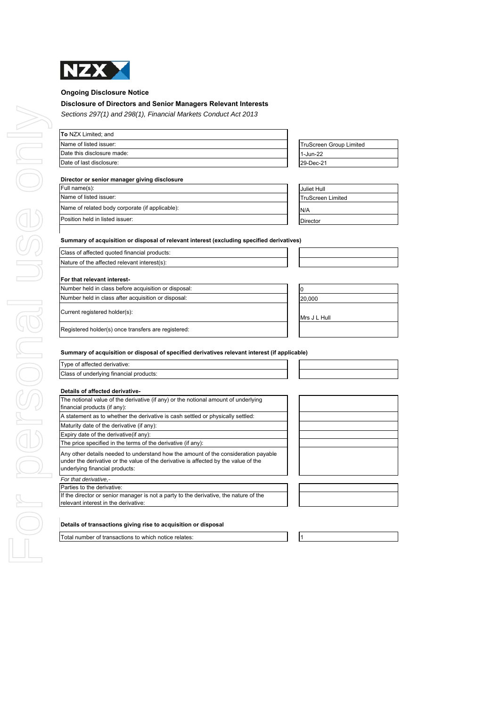

### **Ongoing Disclosure Notice**

### **Disclosure of Directors and Senior Managers Relevant Interests**

*Sections 297(1) and 298(1), Financial Markets Conduct Act 2013*

| To NZX Limited; and        |                                |
|----------------------------|--------------------------------|
| Name of listed issuer:     | <b>TruScreen Group Limited</b> |
| Date this disclosure made: | 1-Jun-22                       |
| Date of last disclosure:   | 29-Dec-21                      |
|                            |                                |

### **Director or senior manager giving disclosure**

| Full name(s):                                   | Juliet Hull              |
|-------------------------------------------------|--------------------------|
| Name of listed issuer:                          | <b>TruScreen Limited</b> |
| Name of related body corporate (if applicable): | N/A                      |
| Position held in listed issuer:                 | <b>Director</b>          |

| Juliet Hull              |
|--------------------------|
| <b>TruScreen Limited</b> |
| N/A                      |
| <b>Director</b>          |

### **Summary of acquisition or disposal of relevant interest (excluding specified derivatives)**

| Class of affected quoted financial products:         |              |  |
|------------------------------------------------------|--------------|--|
| Nature of the affected relevant interest(s):         |              |  |
| For that relevant interest-                          |              |  |
| Number held in class before acquisition or disposal: |              |  |
| Number held in class after acquisition or disposal:  | 20,000       |  |
| Current registered holder(s):                        | Mrs J L Hull |  |

Registered holder(s) once transfers are registered:

Type of affected derivative:

# Class of underlying financial products:

| The notional value of the derivative (if any) or the notional amount of underlying<br>financial products (if any):                                                                                          |
|-------------------------------------------------------------------------------------------------------------------------------------------------------------------------------------------------------------|
| A statement as to whether the derivative is cash settled or physically settled:                                                                                                                             |
| Maturity date of the derivative (if any):                                                                                                                                                                   |
| Expiry date of the derivative (if any):                                                                                                                                                                     |
| The price specified in the terms of the derivative (if any):                                                                                                                                                |
| Any other details needed to understand how the amount of the consideration payable<br>under the derivative or the value of the derivative is affected by the value of the<br>underlying financial products: |
| For that derivative,-                                                                                                                                                                                       |
| Parties to the derivative:                                                                                                                                                                                  |
| If the director or senior manager is not a party to the derivative, the nature of the<br>relevant interest in the derivative:                                                                               |

### **Details of transactions giving rise to acquisition or disposal**

Total number of transactions to which notice relates: 1